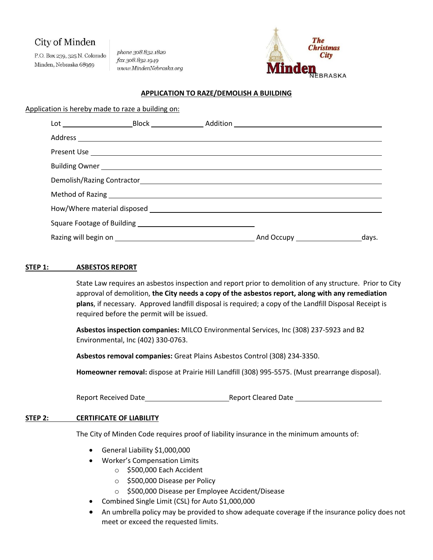# City of Minden

P.O. Box 239, 325 N. Colorado Minden, Nebraska 68959

phone 308.832.1820 fax 308.832.1949 www.MindenNebraska.org



### **APPLICATION TO RAZE/DEMOLISH A BUILDING**

Application is hereby made to raze a building on:

### **STEP 1: ASBESTOS REPORT**

State Law requires an asbestos inspection and report prior to demolition of any structure. Prior to City approval of demolition, **the City needs a copy of the asbestos report, along with any remediation plans**, if necessary. Approved landfill disposal is required; a copy of the Landfill Disposal Receipt is required before the permit will be issued.

**Asbestos inspection companies:** MILCO Environmental Services, Inc (308) 237-5923 and B2 Environmental, Inc (402) 330-0763.

**Asbestos removal companies:** Great Plains Asbestos Control (308) 234-3350.

**Homeowner removal:** dispose at Prairie Hill Landfill (308) 995-5575. (Must prearrange disposal).

Report Received Date **Report Cleared Date** Report Cleared Date

#### **STEP 2: CERTIFICATE OF LIABILITY**

The City of Minden Code requires proof of liability insurance in the minimum amounts of:

- General Liability \$1,000,000
- Worker's Compensation Limits
	- o \$500,000 Each Accident
	- o \$500,000 Disease per Policy
	- o \$500,000 Disease per Employee Accident/Disease
- Combined Single Limit (CSL) for Auto \$1,000,000
- An umbrella policy may be provided to show adequate coverage if the insurance policy does not meet or exceed the requested limits.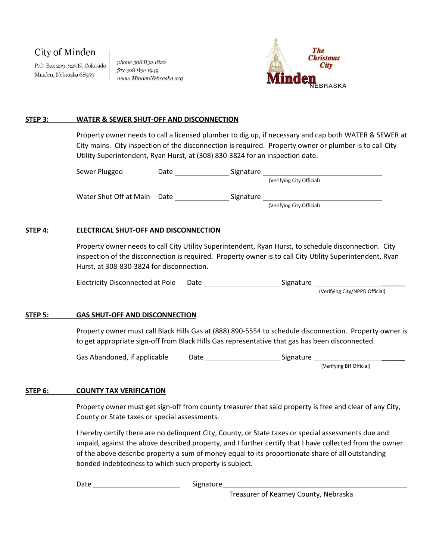# City of Minden

P.O. Box 239, 325 N. Colorado Minden, Nebraska 68959

phone 308.832.1820 fax 308.832.1949 www.MindenNebraska.org



#### **STEP 3: WATER & SEWER SHUT-OFF AND DISCONNECTION**

Property owner needs to call a licensed plumber to dig up, if necessary and cap both WATER & SEWER at City mains. City inspection of the disconnection is required. Property owner or plumber is to call City Utility Superintendent, Ryan Hurst, at (308) 830-3824 for an inspection date.

| Sewer Plugged          | Date | Signature                 |
|------------------------|------|---------------------------|
|                        |      | (Verifying City Official) |
| Water Shut Off at Main | Date | Signature                 |
|                        |      | (Verifying City Official) |

#### **STEP 4: ELECTRICAL SHUT-OFF AND DISCONNECTION**

Property owner needs to call City Utility Superintendent, Ryan Hurst, to schedule disconnection. City inspection of the disconnection is required. Property owner is to call City Utility Superintendent, Ryan Hurst, at 308-830-3824 for disconnection.

Electricity Disconnected at Pole Date Signature \_\_\_\_\_\_

(Verifying City/NPPD Official)

### **STEP 5: GAS SHUT-OFF AND DISCONNECTION**

Property owner must call Black Hills Gas at (888) 890-5554 to schedule disconnection. Property owner is to get appropriate sign-off from Black Hills Gas representative that gas has been disconnected.

Gas Abandoned, if applicable Date Date Signature

(Verifying BH Official)

#### **STEP 6: COUNTY TAX VERIFICATION**

Property owner must get sign-off from county treasurer that said property is free and clear of any City, County or State taxes or special assessments.

I hereby certify there are no delinquent City, County, or State taxes or special assessments due and unpaid, against the above described property, and I further certify that I have collected from the owner of the above describe property a sum of money equal to its proportionate share of all outstanding bonded indebtedness to which such property is subject.

Date Signature

Treasurer of Kearney County, Nebraska